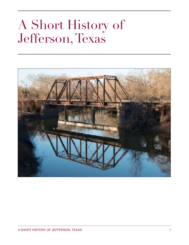# A Short History of Jefferson, Texas

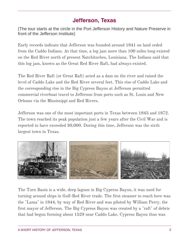# **Jefferson, Texas**

(The tour starts at the circle in the Port Jefferson History and Nature Preserve in front of the Jefferson Institute)

Early records indicate that Jefferson was founded around 1841 on land ceded from the [Caddo](https://en.wikipedia.org/wiki/Caddo) Indians. At that time, a log jam more than 100 miles long existed on the [Red River](https://en.wikipedia.org/wiki/Red_River_of_the_South) north of present [Natchitoches](https://en.wikipedia.org/wiki/Natchitoches,_Louisiana), [Louisiana.](https://en.wikipedia.org/wiki/Louisiana) The Indians said that this log jam, known as the Great Red River Raft, had always existed.

The Red River Raft (or [Great Raft](https://en.wikipedia.org/wiki/Great_Raft)) acted as a dam on the river and raised the level of [Caddo Lake](https://en.wikipedia.org/wiki/Caddo_Lake) and the Red River several feet. This rise of Caddo Lake and the corresponding rise in the [Big Cypress Bayou](https://en.wikipedia.org/wiki/Big_Cypress_Bayou) at Jefferson permitted commercial riverboat travel to Jefferson from ports such as [St. Louis](https://en.wikipedia.org/wiki/St._Louis) and [New](https://en.wikipedia.org/wiki/New_Orleans)  [Orleans](https://en.wikipedia.org/wiki/New_Orleans) via the [Mississippi](https://en.wikipedia.org/wiki/Mississippi) and Red Rivers.

Jefferson was one of the most important ports in Texas between 1845 and 1872. The town reached its peak population just a few years after the Civil War and is reported to have exceeded 30,000. During this time, Jefferson was the sixth largest town in Texas.



The Turn Basin is a wide, deep lagoon in Big Cypress Bayou, it was used for turning around ships in Gulf-Red River trade. The first steamer to reach here was the "Lama" in 1844, by way of Red River and was piloted by William Perry, the first mayor of Jefferson. The Big Cypress Bayou was created by a "raft" of debris that had begun forming about 1529 near Caddo Lake. Cypress Bayou thus was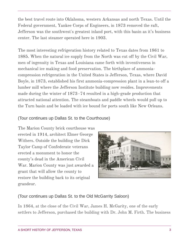the best travel route into Oklahoma, western Arkansas and north Texas. Until the Federal government, Yankee Corps of Engineers, in 1873 removed the raft, Jefferson was the southwest's greatest inland port, with this basin as it's business center. The last steamer operated here in 1903.

The most interesting refrigeration history related to Texas dates from 1861 to 1885. When the natural ice supply from the North was cut off by the [Civil War](https://tshaonline.org/handbook/online/articles/qdc02), men of ingenuity in Texas and Louisiana came forth with inventiveness in mechanical ice making and food preservation. The birthplace of ammoniacompression refrigeration in the United States is Jefferson, Texas, where David Boyle, in 1873, established his first ammonia-compression plant in a lean-to off a lumber mill where the Jefferson Institute building now resides. Improvements made during the winter of 1873–74 resulted in a high-grade production that attracted national attention. The steamboats and paddle wheels would pull up to the Turn basin and be loaded with ice bound for ports south like New Orleans.

### (Tour continues up Dallas St. to the Courthouse)

The Marion County brick courthouse was erected in 1914, architect Elmer George Withers. Outside the building the Dick Taylor Camp of Confederate veterans erected a monument to honor the county's dead in the [American Civil](https://en.wikipedia.org/wiki/American_Civil_War)  [War](https://en.wikipedia.org/wiki/American_Civil_War). Marion County was just awarded a grant that will allow the county to restore the building back to its original grandeur.



# (Tour continues up Dallas St. to the Old McGarrity Saloon)

In 1864, at the close of the Civil War, James H. McGarity, one of the early settlers to Jefferson, purchased the building with Dr. John M. Firth. The business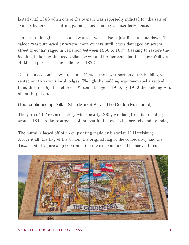lasted until 1868 when one of the owners was reportedly indicted for the sale of "vinous liquors," "permitting gaming" and running a "disorderly house."

It's hard to imagine this as a busy street with saloons just lined up and down. The saloon was purchased by several more owners until it was damaged by several street fires that raged in Jefferson between 1868 to 1877. Seeking to restore the building following the fire, Dallas lawyer and former confederate soldier William H. Mason purchased the building in 1872.

Due to an economic downturn in Jefferson, the lower portion of the building was rented out to various local lodges. Though the building was renovated a second time, this time by the Jefferson Masonic Lodge in 1916, by 1950 the building was all but forgotten.

### (Tour continues up Dallas St. to Market St. at "The Golden Era" mural)

The yarn of Jefferson's history winds nearly 200 years long from its founding around 1841 to the resurgence of interest in the town's history rebounding today.

The mural is based off of an oil painting made by historian F. Harrisburg. Above it all, the flag of the Union, the original flag of the confederacy and the Texas state flag are aligned around the town's namesake, Thomas Jefferson.

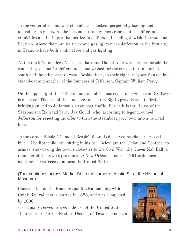In the center of the mural a steamboat is docked, perpetually loading and unloading its goods. At the bottom left, many faces represent the different ethnicities and heritages that settled in Jefferson, including Jewish, German and Scottish. Above them, an ice truck and gas lights mark Jefferson as the first city in Texas to have both artificial ice and gas lighting.

At the top left, founders Allen Urquhart and Daniel Alley are pictured beside their competing visions for Jefferson, as one wished for the streets to run north to south and the other east to west. Beside them, to their right, they are flanked by a steamboat and another of the founders of Jefferson, Captain William Perry.

On the upper right, the 1873 detonation of the massive stoppage on the Red River is depicted. The loss of the stoppage caused the Big Cypress Bayou to drain, bringing an end to Jefferson's steamboat traffic. Beside it is the House of the Seasons and Railroad baron Jay Gould, who, according to legend, cursed Jefferson for rejecting his offer to turn the steamboat port town into a railroad hub.

In the corner Bessie "Diamond Bessie" Moore is displayed beside her accused killer, Abe Rothchild, still sitting in his cell. Below are the Union and Confederate armies, showcasing the town's close ties to the Civil War, the Queen Mab Ball, a reminder of the town's proximity to New Orleans, and the 1861 ordinance marking Texas' secession form the United States.

(Tour continues across Market St. to the corner of Austin St. at the Historical Museum)

Construction on the [Romanesque Revival](https://en.wikipedia.org/wiki/Romanesque_Revival_architecture) building with [Greek Revival](https://en.wikipedia.org/wiki/Greek_Revival_architecture) details started in 1888, and was completed by 1890.

It originally served as a [courthouse](https://en.wikipedia.org/wiki/Courthouse) of the [United States](https://en.wikipedia.org/wiki/United_States_District_Court_for_the_Eastern_District_of_Texas)  [District Court for the Eastern District of Texas](https://en.wikipedia.org/wiki/United_States_District_Court_for_the_Eastern_District_of_Texas),<sup>[2]</sup> and as a

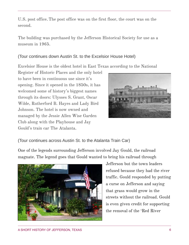U.S. post office. The post office was on the first floor, the court was on the second.

The building was purchased by the Jefferson Historical Society for use as a museum in 1965.

### (Tour continues down Austin St. to the Excelsior House Hotel)

Excelsior House is the oldest hotel in East Texas according to the National

Register of Historic Places and the only hotel to have been in continuous use since it's opening. Since it opened in the 1850s, it has welcomed some of history's biggest names through its doors: Ulysses S. Grant, Oscar Wilde, Rutherford B. Hayes and Lady Bird Johnson. The hotel is now owned and managed by the Jessie Allen Wise Garden Club along with the Playhouse and Jay Gould's train car The Atalanta.



(Tour continues across Austin St. to the Atalanta Train Car)

One of the legends surrounding Jefferson involved [Jay Gould](https://en.wikipedia.org/wiki/Jay_Gould), the railroad magnate. The legend goes that Gould wanted to bring his railroad through



Jefferson but the town leaders refused because they had the river traffic. Gould responded by putting a curse on Jefferson and saying that grass would grow in the streets without the railroad. Gould is even given credit for supporting the removal of the 'Red River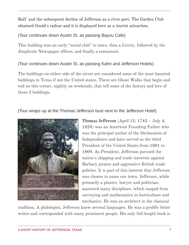Raft' and the subsequent decline of Jefferson as a river port. The Garden Club obtained Gould's railcar and it is displayed here as a tourist attraction.

(Tour continues down Austin St. as passing Bayou Cafe)

This building was an early "social club" in town, then a Livery, followed by the Jimplicute Newspaper offices, and finally a restaurant.

## (Tour continues down Austin St. as passing Kahn and Jefferson Hotels)

The buildings on either side of the street are considered some of the most haunted buildings in Texas if not the United states. There are Ghost Walks that begin and end on this corner, nightly on weekends, that tell some of the history and lore of these 2 buildings.

(Tour wraps up at the Thomas Jefferson bust next to the Jefferson Hotel)



**Thomas Jefferson** (April 13, 1743 – July 4, 1826) was an American [Founding Father](https://en.wikipedia.org/wiki/Founding_Fathers_of_the_United_States) who was the principal author of the [Declaration of](https://en.wikipedia.org/wiki/United_States_Declaration_of_Independence)  [Independence](https://en.wikipedia.org/wiki/United_States_Declaration_of_Independence) and later served as the [third](https://en.wikipedia.org/wiki/List_of_Presidents_of_the_United_States)  [President of the United States](https://en.wikipedia.org/wiki/List_of_Presidents_of_the_United_States) from 1801 to 1809. As President, Jefferson pursued the nation's shipping and trade interests against [Barbary pirates](https://en.wikipedia.org/wiki/Barbary_pirates) and aggressive British trade policies. It is part of this interest that Jefferson was chosen to name our town. Jefferson, while primarily a [planter](https://en.wikipedia.org/wiki/Plantations_in_the_American_South#Plantation_owner), lawyer and politician, mastered many disciplines, which ranged from surveying and mathematics to [horticulture](https://en.wikipedia.org/wiki/Horticulture) and mechanics. He was an architect in the [classical](https://en.wikipedia.org/wiki/Classical_architecture) 

[tradition.](https://en.wikipedia.org/wiki/Classical_architecture) A [philologist](https://en.wikipedia.org/wiki/Philology), Jefferson knew several languages. He was a prolific letter writer and corresponded with many prominent people. His only full-length book is